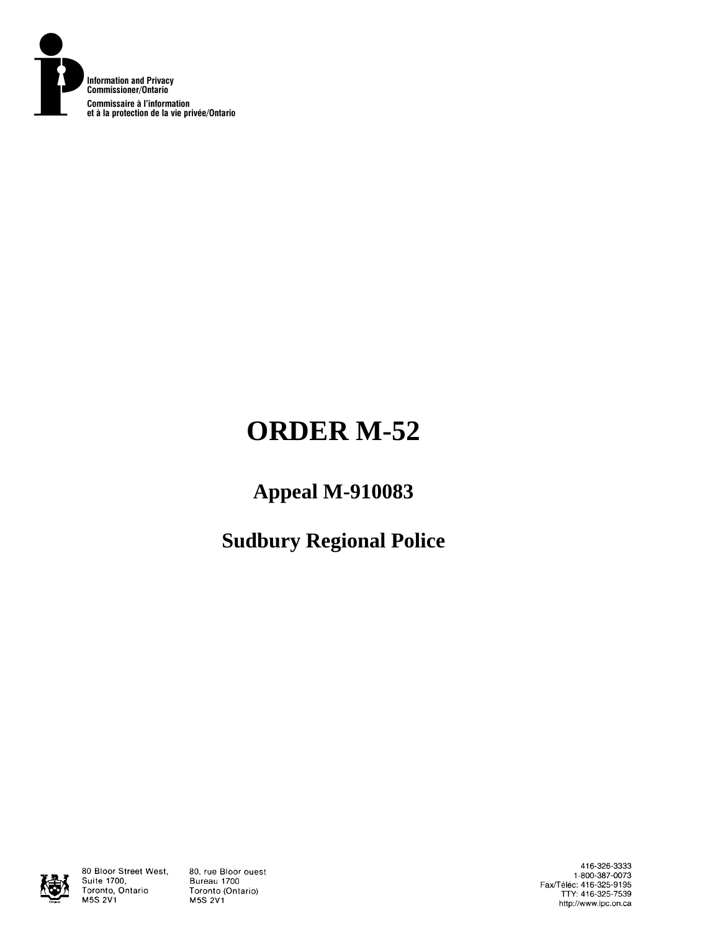

# **ORDER M-52**

# **Appeal M-910083**

# **Sudbury Regional Police**



80 Bloor Street West, Suite 1700, Toronto, Ontario M5S 2V1

80, rue Bloor ouest Bureau 1700 Toronto (Ontario) **M5S 2V1** 

416-326-3333 1-800-387-0073 Fax/Téléc: 416-325-9195<br>TTY: 416-325-7539 http://www.ipc.on.ca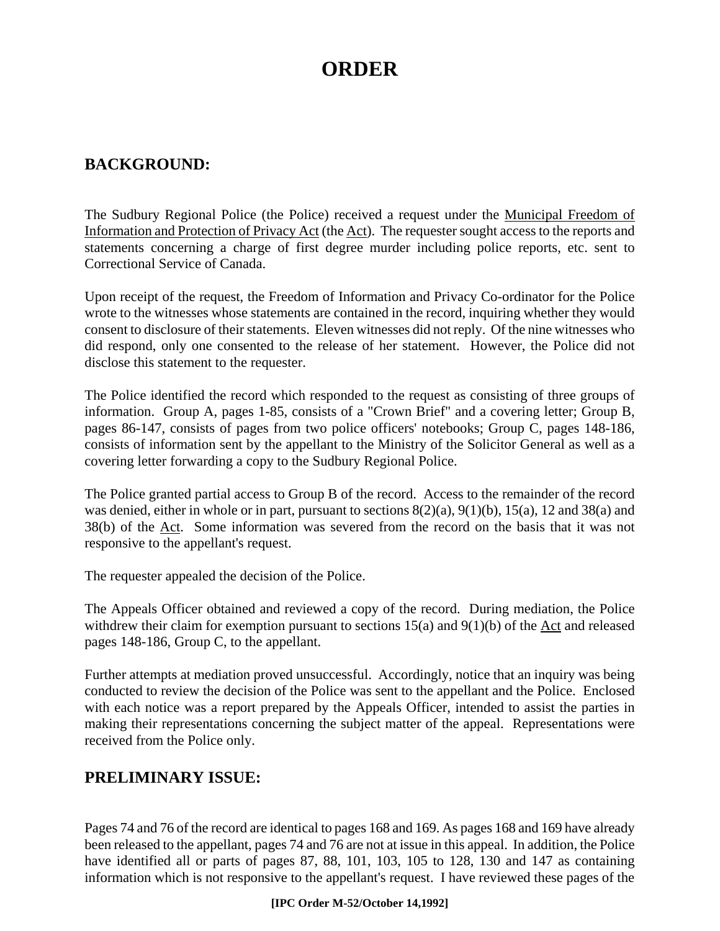# **ORDER**

# **BACKGROUND:**

The Sudbury Regional Police (the Police) received a request under the Municipal Freedom of Information and Protection of Privacy Act (the Act). The requester sought access to the reports and statements concerning a charge of first degree murder including police reports, etc. sent to Correctional Service of Canada.

Upon receipt of the request, the Freedom of Information and Privacy Co-ordinator for the Police wrote to the witnesses whose statements are contained in the record, inquiring whether they would consent to disclosure of their statements. Eleven witnesses did not reply. Of the nine witnesses who did respond, only one consented to the release of her statement. However, the Police did not disclose this statement to the requester.

The Police identified the record which responded to the request as consisting of three groups of information. Group A, pages 1-85, consists of a "Crown Brief" and a covering letter; Group B, pages 86-147, consists of pages from two police officers' notebooks; Group C, pages 148-186, consists of information sent by the appellant to the Ministry of the Solicitor General as well as a covering letter forwarding a copy to the Sudbury Regional Police.

The Police granted partial access to Group B of the record. Access to the remainder of the record was denied, either in whole or in part, pursuant to sections 8(2)(a), 9(1)(b), 15(a), 12 and 38(a) and 38(b) of the Act. Some information was severed from the record on the basis that it was not responsive to the appellant's request.

The requester appealed the decision of the Police.

The Appeals Officer obtained and reviewed a copy of the record. During mediation, the Police withdrew their claim for exemption pursuant to sections 15(a) and 9(1)(b) of the Act and released pages 148-186, Group C, to the appellant.

Further attempts at mediation proved unsuccessful. Accordingly, notice that an inquiry was being conducted to review the decision of the Police was sent to the appellant and the Police. Enclosed with each notice was a report prepared by the Appeals Officer, intended to assist the parties in making their representations concerning the subject matter of the appeal. Representations were received from the Police only.

# **PRELIMINARY ISSUE:**

Pages 74 and 76 of the record are identical to pages 168 and 169. As pages 168 and 169 have already been released to the appellant, pages 74 and 76 are not at issue in this appeal. In addition, the Police have identified all or parts of pages 87, 88, 101, 103, 105 to 128, 130 and 147 as containing information which is not responsive to the appellant's request. I have reviewed these pages of the

#### **[IPC Order M-52/October 14,1992]**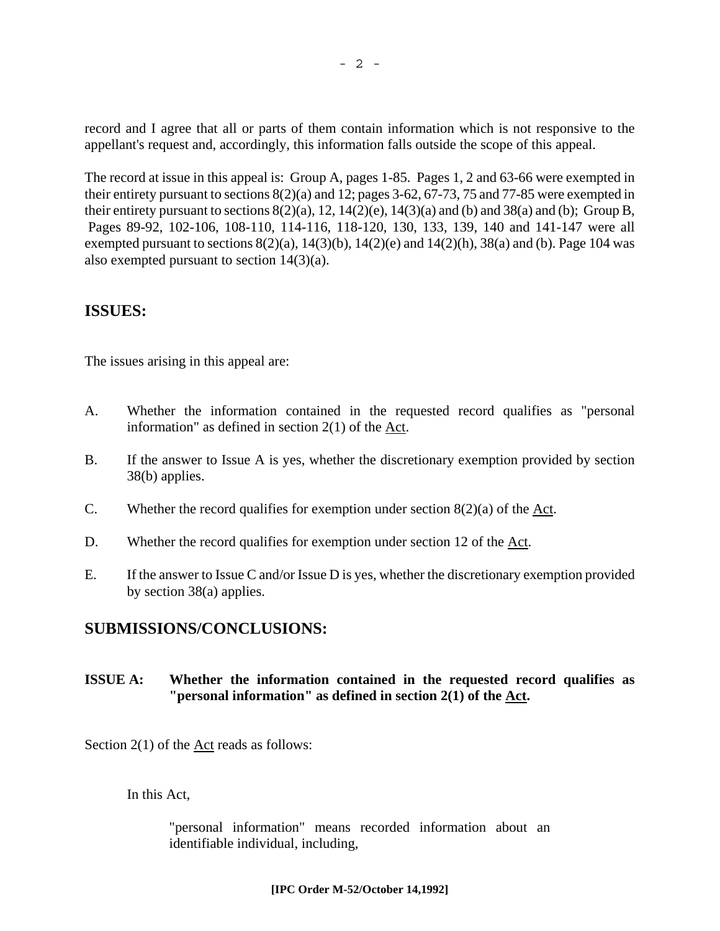record and I agree that all or parts of them contain information which is not responsive to the appellant's request and, accordingly, this information falls outside the scope of this appeal.

The record at issue in this appeal is: Group A, pages 1-85. Pages 1, 2 and 63-66 were exempted in their entirety pursuant to sections 8(2)(a) and 12; pages 3-62, 67-73, 75 and 77-85 were exempted in their entirety pursuant to sections  $8(2)(a)$ ,  $12$ ,  $14(2)(e)$ ,  $14(3)(a)$  and (b) and  $38(a)$  and (b); Group B, Pages 89-92, 102-106, 108-110, 114-116, 118-120, 130, 133, 139, 140 and 141-147 were all exempted pursuant to sections  $8(2)(a)$ ,  $14(3)(b)$ ,  $14(2)(e)$  and  $14(2)(h)$ ,  $38(a)$  and (b). Page 104 was also exempted pursuant to section 14(3)(a).

### **ISSUES:**

The issues arising in this appeal are:

- A. Whether the information contained in the requested record qualifies as "personal information" as defined in section 2(1) of the Act.
- B. If the answer to Issue A is yes, whether the discretionary exemption provided by section 38(b) applies.
- C. Whether the record qualifies for exemption under section  $8(2)(a)$  of the Act.
- D. Whether the record qualifies for exemption under section 12 of the Act.
- E. If the answer to Issue C and/or Issue D is yes, whether the discretionary exemption provided by section 38(a) applies.

## **SUBMISSIONS/CONCLUSIONS:**

#### **ISSUE A: Whether the information contained in the requested record qualifies as "personal information" as defined in section 2(1) of the Act.**

Section 2(1) of the Act reads as follows:

In this Act,

"personal information" means recorded information about an identifiable individual, including,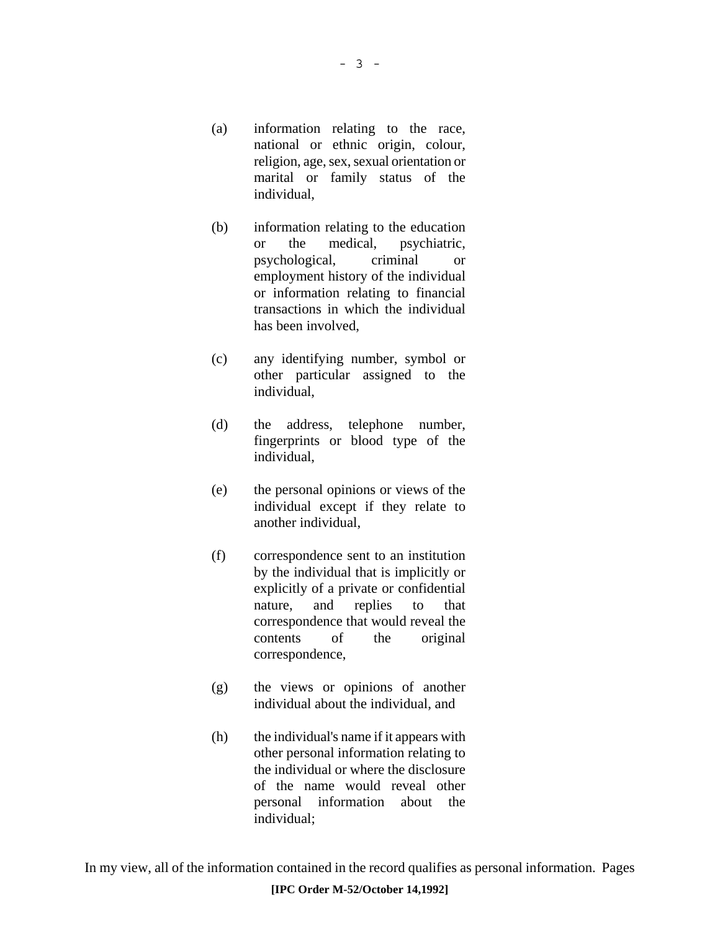- (a) information relating to the race, national or ethnic origin, colour, religion, age, sex, sexual orientation or marital or family status of the individual,
- (b) information relating to the education or the medical, psychiatric, psychological, criminal or employment history of the individual or information relating to financial transactions in which the individual has been involved,
- (c) any identifying number, symbol or other particular assigned to the individual,
- (d) the address, telephone number, fingerprints or blood type of the individual,
- (e) the personal opinions or views of the individual except if they relate to another individual,
- (f) correspondence sent to an institution by the individual that is implicitly or explicitly of a private or confidential nature, and replies to that correspondence that would reveal the contents of the original correspondence,
- (g) the views or opinions of another individual about the individual, and
- (h) the individual's name if it appears with other personal information relating to the individual or where the disclosure of the name would reveal other personal information about the individual;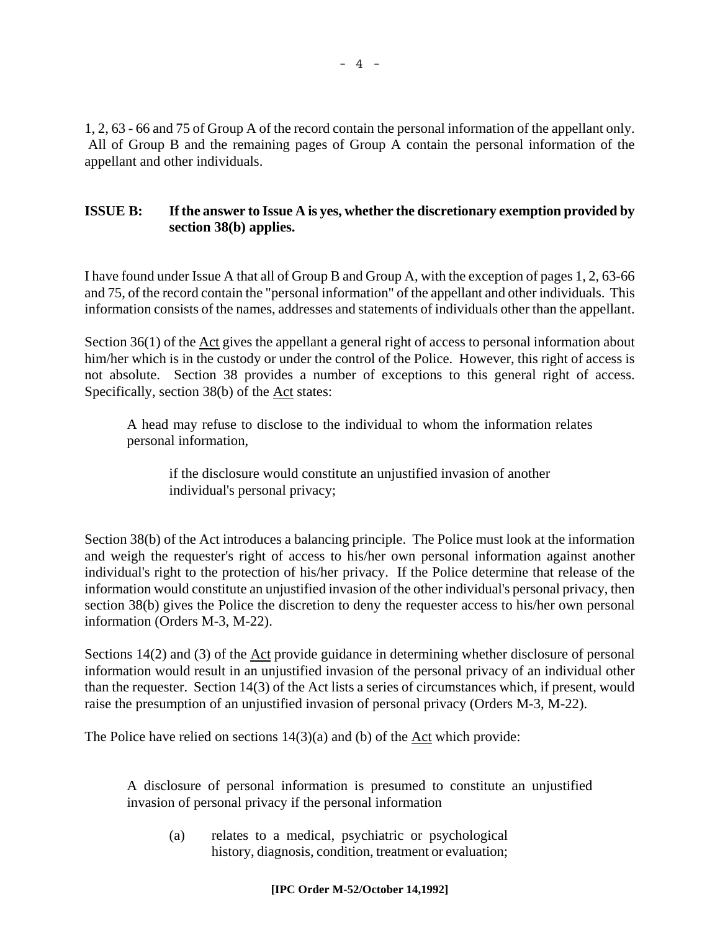1, 2, 63 - 66 and 75 of Group A of the record contain the personal information of the appellant only. All of Group B and the remaining pages of Group A contain the personal information of the appellant and other individuals.

### **ISSUE B: If the answer to Issue A is yes, whether the discretionary exemption provided by section 38(b) applies.**

I have found under Issue A that all of Group B and Group A, with the exception of pages 1, 2, 63-66 and 75, of the record contain the "personal information" of the appellant and other individuals. This information consists of the names, addresses and statements of individuals other than the appellant.

Section 36(1) of the Act gives the appellant a general right of access to personal information about him/her which is in the custody or under the control of the Police. However, this right of access is not absolute. Section 38 provides a number of exceptions to this general right of access. Specifically, section 38(b) of the Act states:

A head may refuse to disclose to the individual to whom the information relates personal information,

if the disclosure would constitute an unjustified invasion of another individual's personal privacy;

Section 38(b) of the Act introduces a balancing principle. The Police must look at the information and weigh the requester's right of access to his/her own personal information against another individual's right to the protection of his/her privacy. If the Police determine that release of the information would constitute an unjustified invasion of the other individual's personal privacy, then section 38(b) gives the Police the discretion to deny the requester access to his/her own personal information (Orders M-3, M-22).

Sections 14(2) and (3) of the <u>Act</u> provide guidance in determining whether disclosure of personal information would result in an unjustified invasion of the personal privacy of an individual other than the requester. Section 14(3) of the Act lists a series of circumstances which, if present, would raise the presumption of an unjustified invasion of personal privacy (Orders M-3, M-22).

The Police have relied on sections  $14(3)(a)$  and (b) of the Act which provide:

A disclosure of personal information is presumed to constitute an unjustified invasion of personal privacy if the personal information

(a) relates to a medical, psychiatric or psychological history, diagnosis, condition, treatment or evaluation;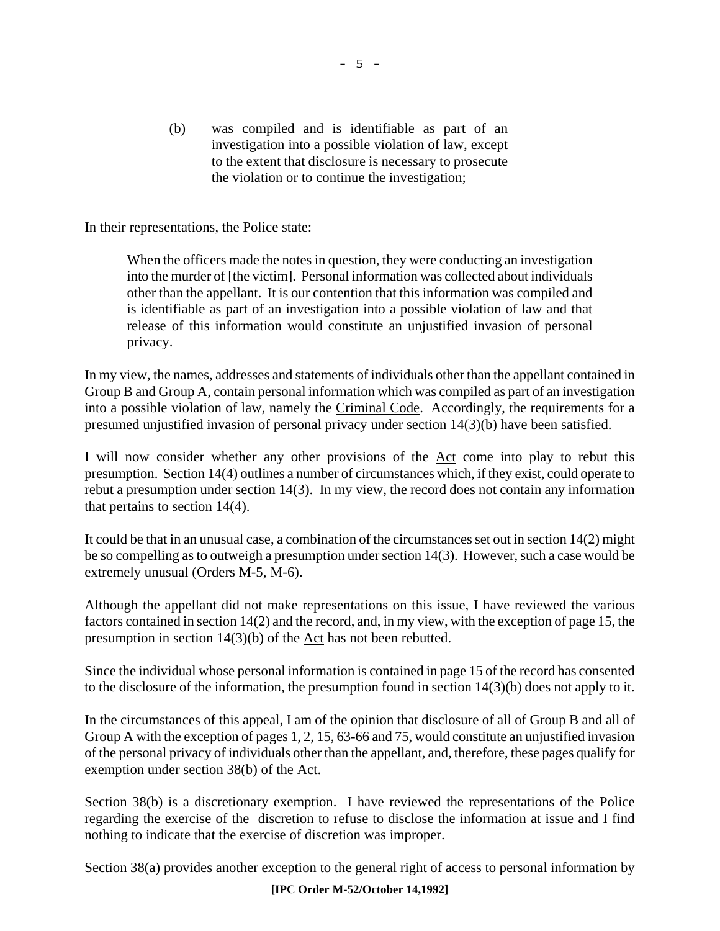(b) was compiled and is identifiable as part of an investigation into a possible violation of law, except to the extent that disclosure is necessary to prosecute the violation or to continue the investigation;

In their representations, the Police state:

When the officers made the notes in question, they were conducting an investigation into the murder of [the victim]. Personal information was collected about individuals other than the appellant. It is our contention that this information was compiled and is identifiable as part of an investigation into a possible violation of law and that release of this information would constitute an unjustified invasion of personal privacy.

In my view, the names, addresses and statements of individuals other than the appellant contained in Group B and Group A, contain personal information which was compiled as part of an investigation into a possible violation of law, namely the Criminal Code. Accordingly, the requirements for a presumed unjustified invasion of personal privacy under section 14(3)(b) have been satisfied.

I will now consider whether any other provisions of the Act come into play to rebut this presumption. Section 14(4) outlines a number of circumstances which, if they exist, could operate to rebut a presumption under section 14(3). In my view, the record does not contain any information that pertains to section 14(4).

It could be that in an unusual case, a combination of the circumstances set out in section 14(2) might be so compelling as to outweigh a presumption under section 14(3). However, such a case would be extremely unusual (Orders M-5, M-6).

Although the appellant did not make representations on this issue, I have reviewed the various factors contained in section 14(2) and the record, and, in my view, with the exception of page 15, the presumption in section 14(3)(b) of the Act has not been rebutted.

Since the individual whose personal information is contained in page 15 of the record has consented to the disclosure of the information, the presumption found in section 14(3)(b) does not apply to it.

In the circumstances of this appeal, I am of the opinion that disclosure of all of Group B and all of Group A with the exception of pages 1, 2, 15, 63-66 and 75, would constitute an unjustified invasion of the personal privacy of individuals other than the appellant, and, therefore, these pages qualify for exemption under section 38(b) of the Act.

Section 38(b) is a discretionary exemption. I have reviewed the representations of the Police regarding the exercise of the discretion to refuse to disclose the information at issue and I find nothing to indicate that the exercise of discretion was improper.

Section 38(a) provides another exception to the general right of access to personal information by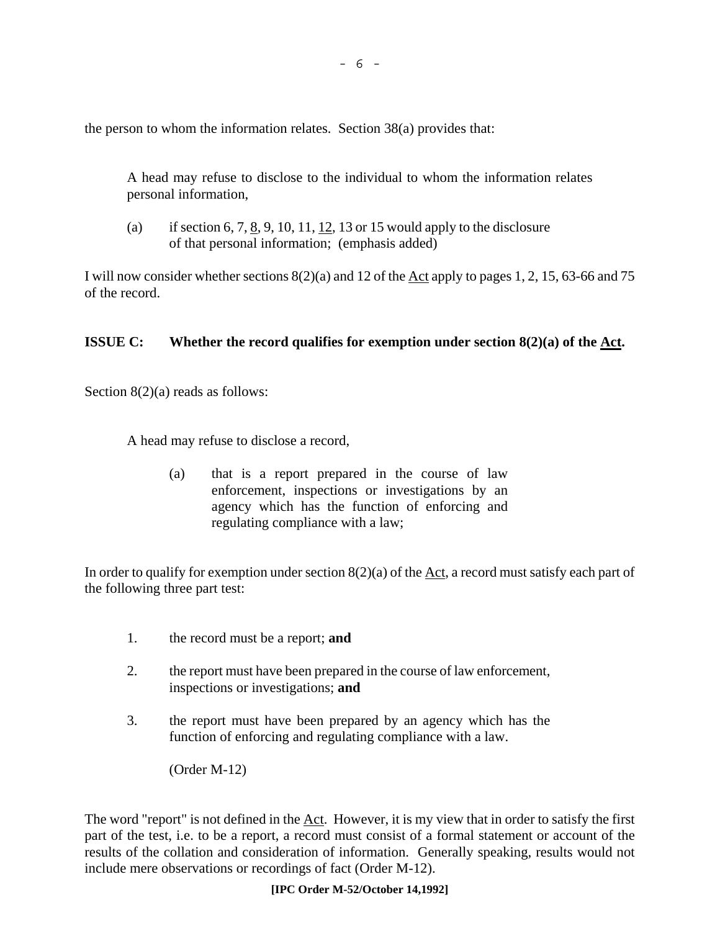the person to whom the information relates. Section 38(a) provides that:

A head may refuse to disclose to the individual to whom the information relates personal information,

(a) if section 6, 7,  $\underline{8}$ , 9, 10, 11,  $\underline{12}$ , 13 or 15 would apply to the disclosure of that personal information; (emphasis added)

I will now consider whether sections  $8(2)(a)$  and 12 of the Act apply to pages 1, 2, 15, 63-66 and 75 of the record.

#### **ISSUE C:** Whether the record qualifies for exemption under section 8(2)(a) of the <u>Act</u>.

Section 8(2)(a) reads as follows:

A head may refuse to disclose a record,

(a) that is a report prepared in the course of law enforcement, inspections or investigations by an agency which has the function of enforcing and regulating compliance with a law;

In order to qualify for exemption under section 8(2)(a) of the Act, a record must satisfy each part of the following three part test:

- 1. the record must be a report; **and**
- 2. the report must have been prepared in the course of law enforcement, inspections or investigations; **and**
- 3. the report must have been prepared by an agency which has the function of enforcing and regulating compliance with a law.

(Order M-12)

The word "report" is not defined in the Act. However, it is my view that in order to satisfy the first part of the test, i.e. to be a report, a record must consist of a formal statement or account of the results of the collation and consideration of information. Generally speaking, results would not include mere observations or recordings of fact (Order M-12).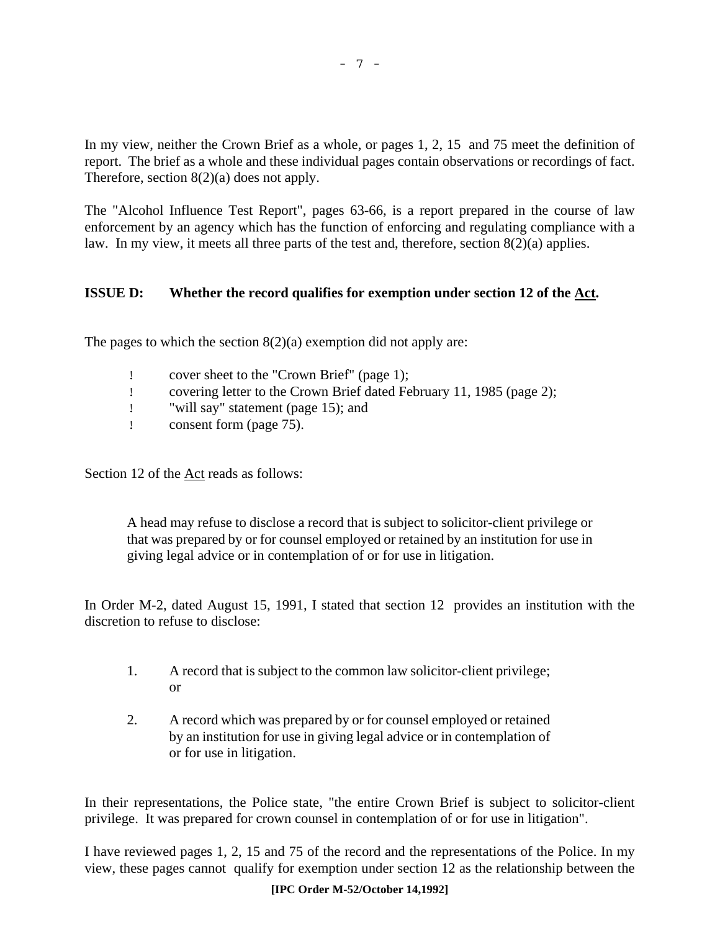In my view, neither the Crown Brief as a whole, or pages 1, 2, 15 and 75 meet the definition of report. The brief as a whole and these individual pages contain observations or recordings of fact. Therefore, section 8(2)(a) does not apply.

The "Alcohol Influence Test Report", pages 63-66, is a report prepared in the course of law enforcement by an agency which has the function of enforcing and regulating compliance with a law. In my view, it meets all three parts of the test and, therefore, section 8(2)(a) applies.

### **ISSUE D: Whether the record qualifies for exemption under section 12 of the Act.**

The pages to which the section  $8(2)(a)$  exemption did not apply are:

- ! cover sheet to the "Crown Brief" (page 1);
- ! covering letter to the Crown Brief dated February 11, 1985 (page 2);
- ! "will say" statement (page 15); and
- ! consent form (page 75).

Section 12 of the Act reads as follows:

A head may refuse to disclose a record that is subject to solicitor-client privilege or that was prepared by or for counsel employed or retained by an institution for use in giving legal advice or in contemplation of or for use in litigation.

In Order M-2, dated August 15, 1991, I stated that section 12 provides an institution with the discretion to refuse to disclose:

- 1. A record that is subject to the common law solicitor-client privilege; or
- 2. A record which was prepared by or for counsel employed or retained by an institution for use in giving legal advice or in contemplation of or for use in litigation.

In their representations, the Police state, "the entire Crown Brief is subject to solicitor-client privilege. It was prepared for crown counsel in contemplation of or for use in litigation".

I have reviewed pages 1, 2, 15 and 75 of the record and the representations of the Police. In my view, these pages cannot qualify for exemption under section 12 as the relationship between the

#### **[IPC Order M-52/October 14,1992]**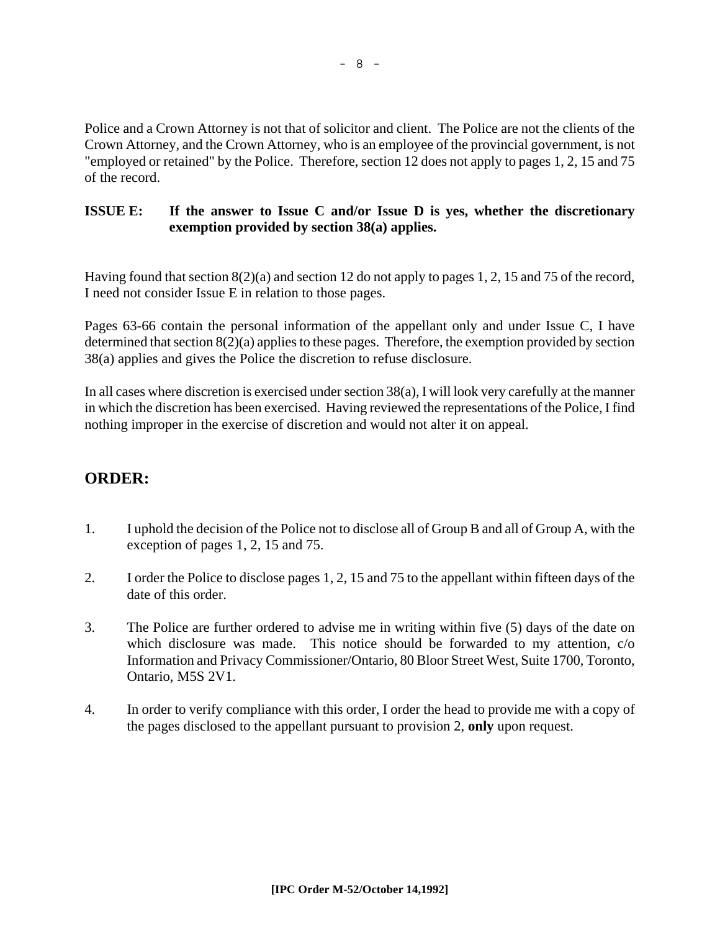Police and a Crown Attorney is not that of solicitor and client. The Police are not the clients of the Crown Attorney, and the Crown Attorney, who is an employee of the provincial government, is not "employed or retained" by the Police. Therefore, section 12 does not apply to pages 1, 2, 15 and 75 of the record.

### **ISSUE E: If the answer to Issue C and/or Issue D is yes, whether the discretionary exemption provided by section 38(a) applies.**

Having found that section 8(2)(a) and section 12 do not apply to pages 1, 2, 15 and 75 of the record, I need not consider Issue E in relation to those pages.

Pages 63-66 contain the personal information of the appellant only and under Issue C, I have determined that section 8(2)(a) applies to these pages. Therefore, the exemption provided by section 38(a) applies and gives the Police the discretion to refuse disclosure.

In all cases where discretion is exercised under section 38(a), I will look very carefully at the manner in which the discretion has been exercised. Having reviewed the representations of the Police, I find nothing improper in the exercise of discretion and would not alter it on appeal.

# **ORDER:**

- 1. I uphold the decision of the Police not to disclose all of Group B and all of Group A, with the exception of pages 1, 2, 15 and 75.
- 2. I order the Police to disclose pages 1, 2, 15 and 75 to the appellant within fifteen days of the date of this order.
- 3. The Police are further ordered to advise me in writing within five (5) days of the date on which disclosure was made. This notice should be forwarded to my attention, c/o Information and Privacy Commissioner/Ontario, 80 Bloor Street West, Suite 1700, Toronto, Ontario, M5S 2V1.
- 4. In order to verify compliance with this order, I order the head to provide me with a copy of the pages disclosed to the appellant pursuant to provision 2, **only** upon request.